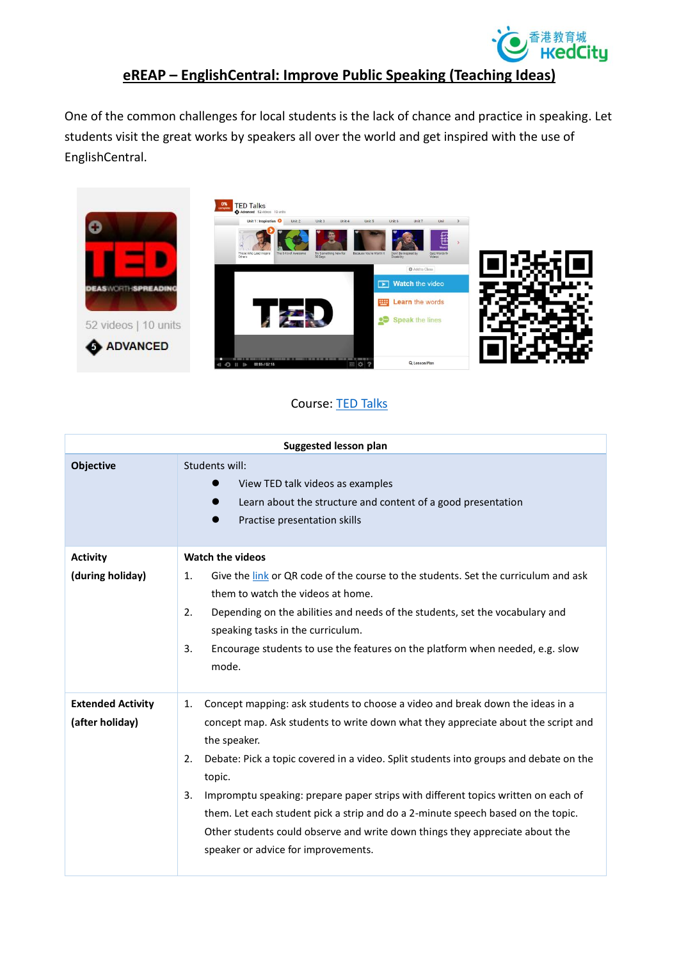

## **eREAP – EnglishCentral: Improve Public Speaking (Teaching Ideas)**

One of the common challenges for local students is the lack of chance and practice in speaking. Let students visit the great works by speakers all over the world and get inspired with the use of EnglishCentral.



## Course: [TED Talks](https://www.englishcentral.com/courses/preview/2728)

| <b>Suggested lesson plan</b>                |                                                                                                                                                                                                                                                                                                                                                                                                                                                                                                                                                                                                         |
|---------------------------------------------|---------------------------------------------------------------------------------------------------------------------------------------------------------------------------------------------------------------------------------------------------------------------------------------------------------------------------------------------------------------------------------------------------------------------------------------------------------------------------------------------------------------------------------------------------------------------------------------------------------|
| <b>Objective</b>                            | Students will:<br>View TED talk videos as examples<br>Learn about the structure and content of a good presentation<br>Practise presentation skills                                                                                                                                                                                                                                                                                                                                                                                                                                                      |
| <b>Activity</b><br>(during holiday)         | <b>Watch the videos</b><br>Give the link or QR code of the course to the students. Set the curriculum and ask<br>1.<br>them to watch the videos at home.<br>Depending on the abilities and needs of the students, set the vocabulary and<br>2.<br>speaking tasks in the curriculum.<br>Encourage students to use the features on the platform when needed, e.g. slow<br>3.<br>mode.                                                                                                                                                                                                                     |
| <b>Extended Activity</b><br>(after holiday) | Concept mapping: ask students to choose a video and break down the ideas in a<br>1.<br>concept map. Ask students to write down what they appreciate about the script and<br>the speaker.<br>Debate: Pick a topic covered in a video. Split students into groups and debate on the<br>2.<br>topic.<br>Impromptu speaking: prepare paper strips with different topics written on each of<br>3.<br>them. Let each student pick a strip and do a 2-minute speech based on the topic.<br>Other students could observe and write down things they appreciate about the<br>speaker or advice for improvements. |